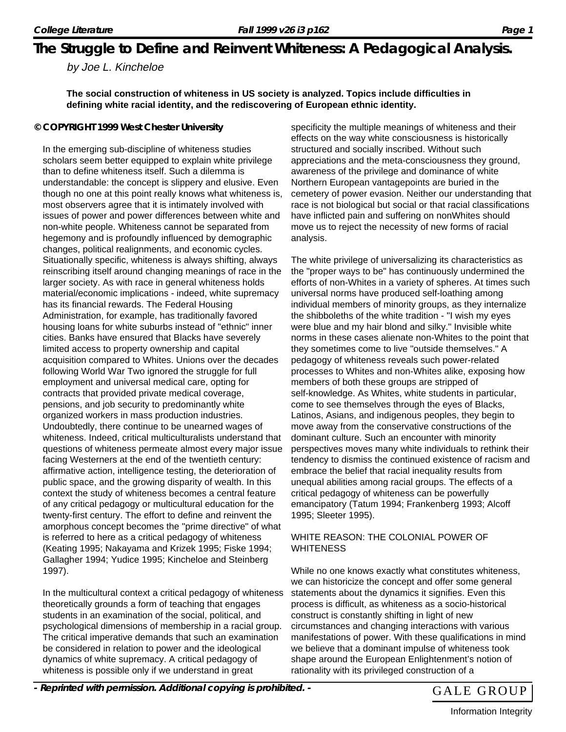by Joe L. Kincheloe

**The social construction of whiteness in US society is analyzed. Topics include difficulties in defining white racial identity, and the rediscovering of European ethnic identity.**

#### **© COPYRIGHT 1999 West Chester University**

In the emerging sub-discipline of whiteness studies scholars seem better equipped to explain white privilege than to define whiteness itself. Such a dilemma is understandable: the concept is slippery and elusive. Even though no one at this point really knows what whiteness is, most observers agree that it is intimately involved with issues of power and power differences between white and non-white people. Whiteness cannot be separated from hegemony and is profoundly influenced by demographic changes, political realignments, and economic cycles. Situationally specific, whiteness is always shifting, always reinscribing itself around changing meanings of race in the larger society. As with race in general whiteness holds material/economic implications - indeed, white supremacy has its financial rewards. The Federal Housing Administration, for example, has traditionally favored housing loans for white suburbs instead of "ethnic" inner cities. Banks have ensured that Blacks have severely limited access to property ownership and capital acquisition compared to Whites. Unions over the decades following World War Two ignored the struggle for full employment and universal medical care, opting for contracts that provided private medical coverage, pensions, and job security to predominantly white organized workers in mass production industries. Undoubtedly, there continue to be unearned wages of whiteness. Indeed, critical multiculturalists understand that questions of whiteness permeate almost every major issue facing Westerners at the end of the twentieth century: affirmative action, intelligence testing, the deterioration of public space, and the growing disparity of wealth. In this context the study of whiteness becomes a central feature of any critical pedagogy or multicultural education for the twenty-first century. The effort to define and reinvent the amorphous concept becomes the "prime directive" of what is referred to here as a critical pedagogy of whiteness (Keating 1995; Nakayama and Krizek 1995; Fiske 1994; Gallagher 1994; Yudice 1995; Kincheloe and Steinberg 1997).

In the multicultural context a critical pedagogy of whiteness theoretically grounds a form of teaching that engages students in an examination of the social, political, and psychological dimensions of membership in a racial group. The critical imperative demands that such an examination be considered in relation to power and the ideological dynamics of white supremacy. A critical pedagogy of whiteness is possible only if we understand in great

specificity the multiple meanings of whiteness and their effects on the way white consciousness is historically structured and socially inscribed. Without such appreciations and the meta-consciousness they ground, awareness of the privilege and dominance of white Northern European vantagepoints are buried in the cemetery of power evasion. Neither our understanding that race is not biological but social or that racial classifications have inflicted pain and suffering on nonWhites should move us to reject the necessity of new forms of racial analysis.

The white privilege of universalizing its characteristics as the "proper ways to be" has continuously undermined the efforts of non-Whites in a variety of spheres. At times such universal norms have produced self-loathing among individual members of minority groups, as they internalize the shibboleths of the white tradition - "I wish my eyes were blue and my hair blond and silky." Invisible white norms in these cases alienate non-Whites to the point that they sometimes come to live "outside themselves." A pedagogy of whiteness reveals such power-related processes to Whites and non-Whites alike, exposing how members of both these groups are stripped of self-knowledge. As Whites, white students in particular, come to see themselves through the eyes of Blacks, Latinos, Asians, and indigenous peoples, they begin to move away from the conservative constructions of the dominant culture. Such an encounter with minority perspectives moves many white individuals to rethink their tendency to dismiss the continued existence of racism and embrace the belief that racial inequality results from unequal abilities among racial groups. The effects of a critical pedagogy of whiteness can be powerfully emancipatory (Tatum 1994; Frankenberg 1993; Alcoff 1995; Sleeter 1995).

#### WHITE REASON: THE COLONIAL POWER OF **WHITENESS**

While no one knows exactly what constitutes whiteness, we can historicize the concept and offer some general statements about the dynamics it signifies. Even this process is difficult, as whiteness as a socio-historical construct is constantly shifting in light of new circumstances and changing interactions with various manifestations of power. With these qualifications in mind we believe that a dominant impulse of whiteness took shape around the European Enlightenment's notion of rationality with its privileged construction of a

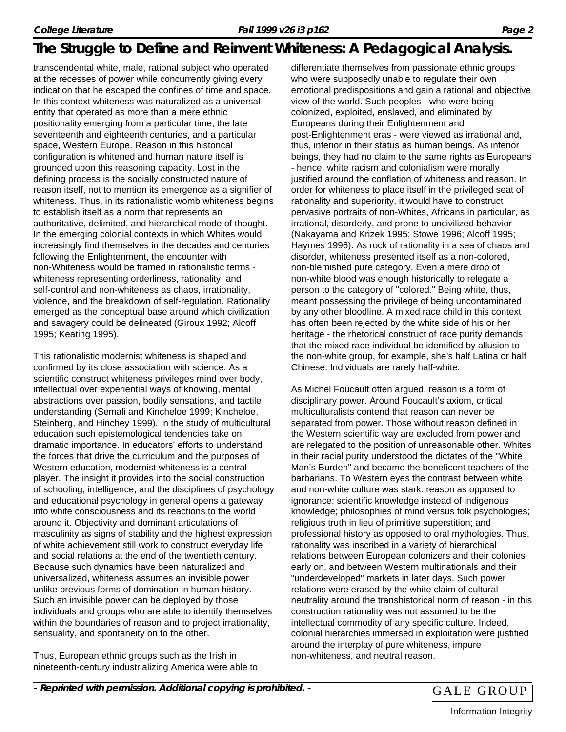transcendental white, male, rational subject who operated at the recesses of power while concurrently giving every indication that he escaped the confines of time and space. In this context whiteness was naturalized as a universal entity that operated as more than a mere ethnic positionality emerging from a particular time, the late seventeenth and eighteenth centuries, and a particular space, Western Europe. Reason in this historical configuration is whitened and human nature itself is grounded upon this reasoning capacity. Lost in the defining process is the socially constructed nature of reason itself, not to mention its emergence as a signifier of whiteness. Thus, in its rationalistic womb whiteness begins to establish itself as a norm that represents an authoritative, delimited, and hierarchical mode of thought. In the emerging colonial contexts in which Whites would increasingly find themselves in the decades and centuries following the Enlightenment, the encounter with non-Whiteness would be framed in rationalistic terms whiteness representing orderliness, rationality, and self-control and non-whiteness as chaos, irrationality, violence, and the breakdown of self-regulation. Rationality emerged as the conceptual base around which civilization and savagery could be delineated (Giroux 1992; Alcoff 1995; Keating 1995).

This rationalistic modernist whiteness is shaped and confirmed by its close association with science. As a scientific construct whiteness privileges mind over body, intellectual over experiential ways of knowing, mental abstractions over passion, bodily sensations, and tactile understanding (Semali and Kincheloe 1999; Kincheloe, Steinberg, and Hinchey 1999). In the study of multicultural education such epistemological tendencies take on dramatic importance. In educators' efforts to understand the forces that drive the curriculum and the purposes of Western education, modernist whiteness is a central player. The insight it provides into the social construction of schooling, intelligence, and the disciplines of psychology and educational psychology in general opens a gateway into white consciousness and its reactions to the world around it. Objectivity and dominant articulations of masculinity as signs of stability and the highest expression of white achievement still work to construct everyday life and social relations at the end of the twentieth century. Because such dynamics have been naturalized and universalized, whiteness assumes an invisible power unlike previous forms of domination in human history. Such an invisible power can be deployed by those individuals and groups who are able to identify themselves within the boundaries of reason and to project irrationality, sensuality, and spontaneity on to the other.

Thus, European ethnic groups such as the Irish in nineteenth-century industrializing America were able to differentiate themselves from passionate ethnic groups who were supposedly unable to regulate their own emotional predispositions and gain a rational and objective view of the world. Such peoples - who were being colonized, exploited, enslaved, and eliminated by Europeans during their Enlightenment and post-Enlightenment eras - were viewed as irrational and, thus, inferior in their status as human beings. As inferior beings, they had no claim to the same rights as Europeans - hence, white racism and colonialism were morally justified around the conflation of whiteness and reason. In order for whiteness to place itself in the privileged seat of rationality and superiority, it would have to construct pervasive portraits of non-Whites, Africans in particular, as irrational, disorderly, and prone to uncivilized behavior (Nakayama and Krizek 1995; Stowe 1996; Alcoff 1995; Haymes 1996). As rock of rationality in a sea of chaos and disorder, whiteness presented itself as a non-colored, non-blemished pure category. Even a mere drop of non-white blood was enough historically to relegate a person to the category of "colored." Being white, thus, meant possessing the privilege of being uncontaminated by any other bloodline. A mixed race child in this context has often been rejected by the white side of his or her heritage - the rhetorical construct of race purity demands that the mixed race individual be identified by allusion to the non-white group, for example, she's half Latina or half Chinese. Individuals are rarely half-white.

As Michel Foucault often argued, reason is a form of disciplinary power. Around Foucault's axiom, critical multiculturalists contend that reason can never be separated from power. Those without reason defined in the Western scientific way are excluded from power and are relegated to the position of unreasonable other. Whites in their racial purity understood the dictates of the "White Man's Burden" and became the beneficent teachers of the barbarians. To Western eyes the contrast between white and non-white culture was stark: reason as opposed to ignorance; scientific knowledge instead of indigenous knowledge; philosophies of mind versus folk psychologies; religious truth in lieu of primitive superstition; and professional history as opposed to oral mythologies. Thus, rationality was inscribed in a variety of hierarchical relations between European colonizers and their colonies early on, and between Western multinationals and their "underdeveloped" markets in later days. Such power relations were erased by the white claim of cultural neutrality around the transhistorical norm of reason - in this construction rationality was not assumed to be the intellectual commodity of any specific culture. Indeed, colonial hierarchies immersed in exploitation were justified around the interplay of pure whiteness, impure non-whiteness, and neutral reason.

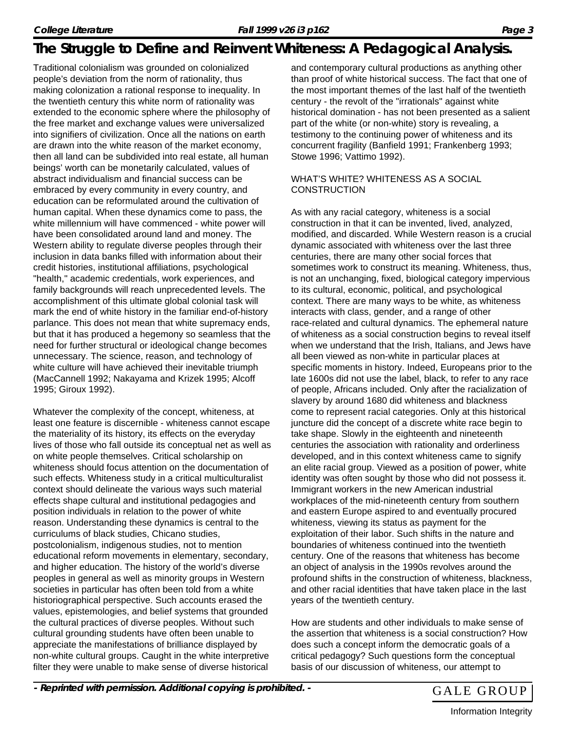Traditional colonialism was grounded on colonialized people's deviation from the norm of rationality, thus making colonization a rational response to inequality. In the twentieth century this white norm of rationality was extended to the economic sphere where the philosophy of the free market and exchange values were universalized into signifiers of civilization. Once all the nations on earth are drawn into the white reason of the market economy, then all land can be subdivided into real estate, all human beings' worth can be monetarily calculated, values of abstract individualism and financial success can be embraced by every community in every country, and education can be reformulated around the cultivation of human capital. When these dynamics come to pass, the white millennium will have commenced - white power will have been consolidated around land and money. The Western ability to regulate diverse peoples through their inclusion in data banks filled with information about their credit histories, institutional affiliations, psychological "health," academic credentials, work experiences, and family backgrounds will reach unprecedented levels. The accomplishment of this ultimate global colonial task will mark the end of white history in the familiar end-of-history parlance. This does not mean that white supremacy ends, but that it has produced a hegemony so seamless that the need for further structural or ideological change becomes unnecessary. The science, reason, and technology of white culture will have achieved their inevitable triumph (MacCannell 1992; Nakayama and Krizek 1995; Alcoff 1995; Giroux 1992).

Whatever the complexity of the concept, whiteness, at least one feature is discernible - whiteness cannot escape the materiality of its history, its effects on the everyday lives of those who fall outside its conceptual net as well as on white people themselves. Critical scholarship on whiteness should focus attention on the documentation of such effects. Whiteness study in a critical multiculturalist context should delineate the various ways such material effects shape cultural and institutional pedagogies and position individuals in relation to the power of white reason. Understanding these dynamics is central to the curriculums of black studies, Chicano studies, postcolonialism, indigenous studies, not to mention educational reform movements in elementary, secondary, and higher education. The history of the world's diverse peoples in general as well as minority groups in Western societies in particular has often been told from a white historiographical perspective. Such accounts erased the values, epistemologies, and belief systems that grounded the cultural practices of diverse peoples. Without such cultural grounding students have often been unable to appreciate the manifestations of brilliance displayed by non-white cultural groups. Caught in the white interpretive filter they were unable to make sense of diverse historical

and contemporary cultural productions as anything other than proof of white historical success. The fact that one of the most important themes of the last half of the twentieth century - the revolt of the "irrationals" against white historical domination - has not been presented as a salient part of the white (or non-white) story is revealing, a testimony to the continuing power of whiteness and its concurrent fragility (Banfield 1991; Frankenberg 1993; Stowe 1996; Vattimo 1992).

#### WHAT'S WHITE? WHITENESS AS A SOCIAL **CONSTRUCTION**

As with any racial category, whiteness is a social construction in that it can be invented, lived, analyzed, modified, and discarded. While Western reason is a crucial dynamic associated with whiteness over the last three centuries, there are many other social forces that sometimes work to construct its meaning. Whiteness, thus, is not an unchanging, fixed, biological category impervious to its cultural, economic, political, and psychological context. There are many ways to be white, as whiteness interacts with class, gender, and a range of other race-related and cultural dynamics. The ephemeral nature of whiteness as a social construction begins to reveal itself when we understand that the Irish, Italians, and Jews have all been viewed as non-white in particular places at specific moments in history. Indeed, Europeans prior to the late 1600s did not use the label, black, to refer to any race of people, Africans included. Only after the racialization of slavery by around 1680 did whiteness and blackness come to represent racial categories. Only at this historical juncture did the concept of a discrete white race begin to take shape. Slowly in the eighteenth and nineteenth centuries the association with rationality and orderliness developed, and in this context whiteness came to signify an elite racial group. Viewed as a position of power, white identity was often sought by those who did not possess it. Immigrant workers in the new American industrial workplaces of the mid-nineteenth century from southern and eastern Europe aspired to and eventually procured whiteness, viewing its status as payment for the exploitation of their labor. Such shifts in the nature and boundaries of whiteness continued into the twentieth century. One of the reasons that whiteness has become an object of analysis in the 1990s revolves around the profound shifts in the construction of whiteness, blackness, and other racial identities that have taken place in the last years of the twentieth century.

How are students and other individuals to make sense of the assertion that whiteness is a social construction? How does such a concept inform the democratic goals of a critical pedagogy? Such questions form the conceptual basis of our discussion of whiteness, our attempt to

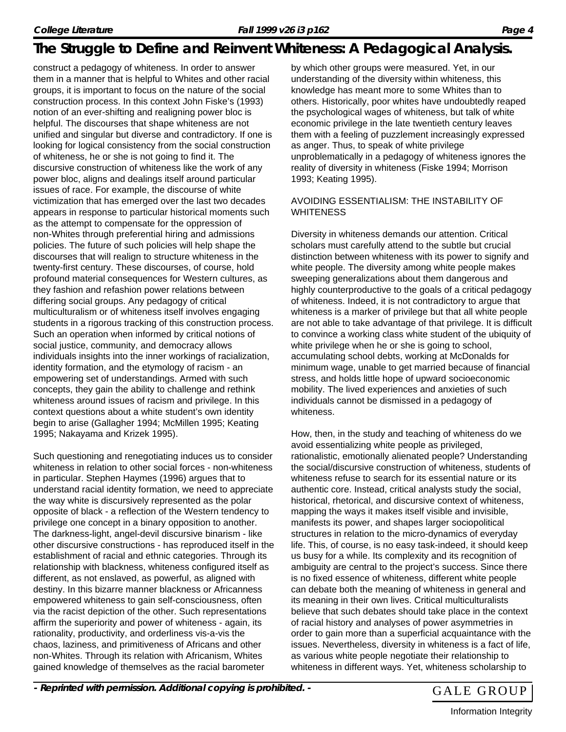construct a pedagogy of whiteness. In order to answer them in a manner that is helpful to Whites and other racial groups, it is important to focus on the nature of the social construction process. In this context John Fiske's (1993) notion of an ever-shifting and realigning power bloc is helpful. The discourses that shape whiteness are not unified and singular but diverse and contradictory. If one is looking for logical consistency from the social construction of whiteness, he or she is not going to find it. The discursive construction of whiteness like the work of any power bloc, aligns and dealings itself around particular issues of race. For example, the discourse of white victimization that has emerged over the last two decades appears in response to particular historical moments such as the attempt to compensate for the oppression of non-Whites through preferential hiring and admissions policies. The future of such policies will help shape the discourses that will realign to structure whiteness in the twenty-first century. These discourses, of course, hold profound material consequences for Western cultures, as they fashion and refashion power relations between differing social groups. Any pedagogy of critical multiculturalism or of whiteness itself involves engaging students in a rigorous tracking of this construction process. Such an operation when informed by critical notions of social justice, community, and democracy allows individuals insights into the inner workings of racialization, identity formation, and the etymology of racism - an empowering set of understandings. Armed with such concepts, they gain the ability to challenge and rethink whiteness around issues of racism and privilege. In this context questions about a white student's own identity begin to arise (Gallagher 1994; McMillen 1995; Keating 1995; Nakayama and Krizek 1995).

Such questioning and renegotiating induces us to consider whiteness in relation to other social forces - non-whiteness in particular. Stephen Haymes (1996) argues that to understand racial identity formation, we need to appreciate the way white is discursively represented as the polar opposite of black - a reflection of the Western tendency to privilege one concept in a binary opposition to another. The darkness-light, angel-devil discursive binarism - like other discursive constructions - has reproduced itself in the establishment of racial and ethnic categories. Through its relationship with blackness, whiteness configured itself as different, as not enslaved, as powerful, as aligned with destiny. In this bizarre manner blackness or Africanness empowered whiteness to gain self-consciousness, often via the racist depiction of the other. Such representations affirm the superiority and power of whiteness - again, its rationality, productivity, and orderliness vis-a-vis the chaos, laziness, and primitiveness of Africans and other non-Whites. Through its relation with Africanism, Whites gained knowledge of themselves as the racial barometer

by which other groups were measured. Yet, in our understanding of the diversity within whiteness, this knowledge has meant more to some Whites than to others. Historically, poor whites have undoubtedly reaped the psychological wages of whiteness, but talk of white economic privilege in the late twentieth century leaves them with a feeling of puzzlement increasingly expressed as anger. Thus, to speak of white privilege unproblematically in a pedagogy of whiteness ignores the reality of diversity in whiteness (Fiske 1994; Morrison 1993; Keating 1995).

#### AVOIDING ESSENTIALISM: THE INSTABILITY OF **WHITENESS**

Diversity in whiteness demands our attention. Critical scholars must carefully attend to the subtle but crucial distinction between whiteness with its power to signify and white people. The diversity among white people makes sweeping generalizations about them dangerous and highly counterproductive to the goals of a critical pedagogy of whiteness. Indeed, it is not contradictory to argue that whiteness is a marker of privilege but that all white people are not able to take advantage of that privilege. It is difficult to convince a working class white student of the ubiquity of white privilege when he or she is going to school, accumulating school debts, working at McDonalds for minimum wage, unable to get married because of financial stress, and holds little hope of upward socioeconomic mobility. The lived experiences and anxieties of such individuals cannot be dismissed in a pedagogy of whiteness.

How, then, in the study and teaching of whiteness do we avoid essentializing white people as privileged, rationalistic, emotionally alienated people? Understanding the social/discursive construction of whiteness, students of whiteness refuse to search for its essential nature or its authentic core. Instead, critical analysts study the social, historical, rhetorical, and discursive context of whiteness, mapping the ways it makes itself visible and invisible, manifests its power, and shapes larger sociopolitical structures in relation to the micro-dynamics of everyday life. This, of course, is no easy task-indeed, it should keep us busy for a while. Its complexity and its recognition of ambiguity are central to the project's success. Since there is no fixed essence of whiteness, different white people can debate both the meaning of whiteness in general and its meaning in their own lives. Critical multiculturalists believe that such debates should take place in the context of racial history and analyses of power asymmetries in order to gain more than a superficial acquaintance with the issues. Nevertheless, diversity in whiteness is a fact of life, as various white people negotiate their relationship to whiteness in different ways. Yet, whiteness scholarship to

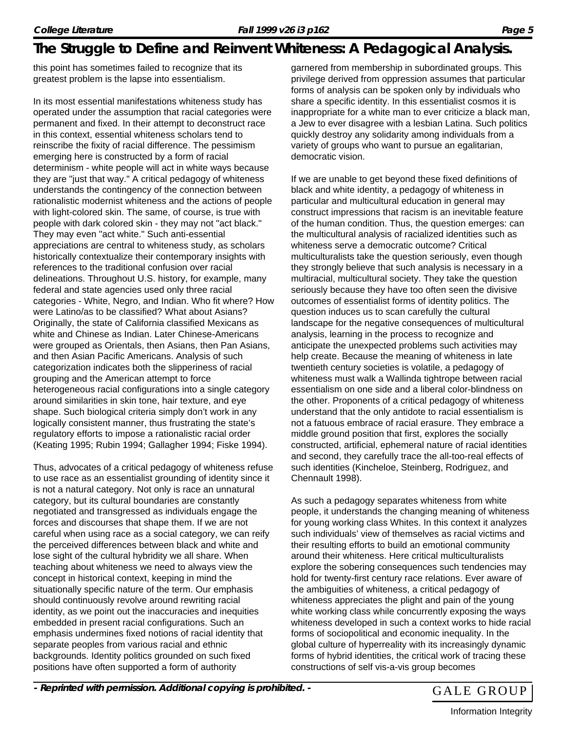this point has sometimes failed to recognize that its greatest problem is the lapse into essentialism.

In its most essential manifestations whiteness study has operated under the assumption that racial categories were permanent and fixed. In their attempt to deconstruct race in this context, essential whiteness scholars tend to reinscribe the fixity of racial difference. The pessimism emerging here is constructed by a form of racial determinism - white people will act in white ways because they are "just that way." A critical pedagogy of whiteness understands the contingency of the connection between rationalistic modernist whiteness and the actions of people with light-colored skin. The same, of course, is true with people with dark colored skin - they may not "act black." They may even "act white." Such anti-essential appreciations are central to whiteness study, as scholars historically contextualize their contemporary insights with references to the traditional confusion over racial delineations. Throughout U.S. history, for example, many federal and state agencies used only three racial categories - White, Negro, and Indian. Who fit where? How were Latino/as to be classified? What about Asians? Originally, the state of California classified Mexicans as white and Chinese as Indian. Later Chinese-Americans were grouped as Orientals, then Asians, then Pan Asians, and then Asian Pacific Americans. Analysis of such categorization indicates both the slipperiness of racial grouping and the American attempt to force heterogeneous racial configurations into a single category around similarities in skin tone, hair texture, and eye shape. Such biological criteria simply don't work in any logically consistent manner, thus frustrating the state's regulatory efforts to impose a rationalistic racial order (Keating 1995; Rubin 1994; Gallagher 1994; Fiske 1994).

Thus, advocates of a critical pedagogy of whiteness refuse to use race as an essentialist grounding of identity since it is not a natural category. Not only is race an unnatural category, but its cultural boundaries are constantly negotiated and transgressed as individuals engage the forces and discourses that shape them. If we are not careful when using race as a social category, we can reify the perceived differences between black and white and lose sight of the cultural hybridity we all share. When teaching about whiteness we need to always view the concept in historical context, keeping in mind the situationally specific nature of the term. Our emphasis should continuously revolve around rewriting racial identity, as we point out the inaccuracies and inequities embedded in present racial configurations. Such an emphasis undermines fixed notions of racial identity that separate peoples from various racial and ethnic backgrounds. Identity politics grounded on such fixed positions have often supported a form of authority

garnered from membership in subordinated groups. This privilege derived from oppression assumes that particular forms of analysis can be spoken only by individuals who share a specific identity. In this essentialist cosmos it is inappropriate for a white man to ever criticize a black man, a Jew to ever disagree with a lesbian Latina. Such politics quickly destroy any solidarity among individuals from a variety of groups who want to pursue an egalitarian, democratic vision.

If we are unable to get beyond these fixed definitions of black and white identity, a pedagogy of whiteness in particular and multicultural education in general may construct impressions that racism is an inevitable feature of the human condition. Thus, the question emerges: can the multicultural analysis of racialized identities such as whiteness serve a democratic outcome? Critical multiculturalists take the question seriously, even though they strongly believe that such analysis is necessary in a multiracial, multicultural society. They take the question seriously because they have too often seen the divisive outcomes of essentialist forms of identity politics. The question induces us to scan carefully the cultural landscape for the negative consequences of multicultural analysis, learning in the process to recognize and anticipate the unexpected problems such activities may help create. Because the meaning of whiteness in late twentieth century societies is volatile, a pedagogy of whiteness must walk a Wallinda tightrope between racial essentialism on one side and a liberal color-blindness on the other. Proponents of a critical pedagogy of whiteness understand that the only antidote to racial essentialism is not a fatuous embrace of racial erasure. They embrace a middle ground position that first, explores the socially constructed, artificial, ephemeral nature of racial identities and second, they carefully trace the all-too-real effects of such identities (Kincheloe, Steinberg, Rodriguez, and Chennault 1998).

As such a pedagogy separates whiteness from white people, it understands the changing meaning of whiteness for young working class Whites. In this context it analyzes such individuals' view of themselves as racial victims and their resulting efforts to build an emotional community around their whiteness. Here critical multiculturalists explore the sobering consequences such tendencies may hold for twenty-first century race relations. Ever aware of the ambiguities of whiteness, a critical pedagogy of whiteness appreciates the plight and pain of the young white working class while concurrently exposing the ways whiteness developed in such a context works to hide racial forms of sociopolitical and economic inequality. In the global culture of hyperreality with its increasingly dynamic forms of hybrid identities, the critical work of tracing these constructions of self vis-a-vis group becomes

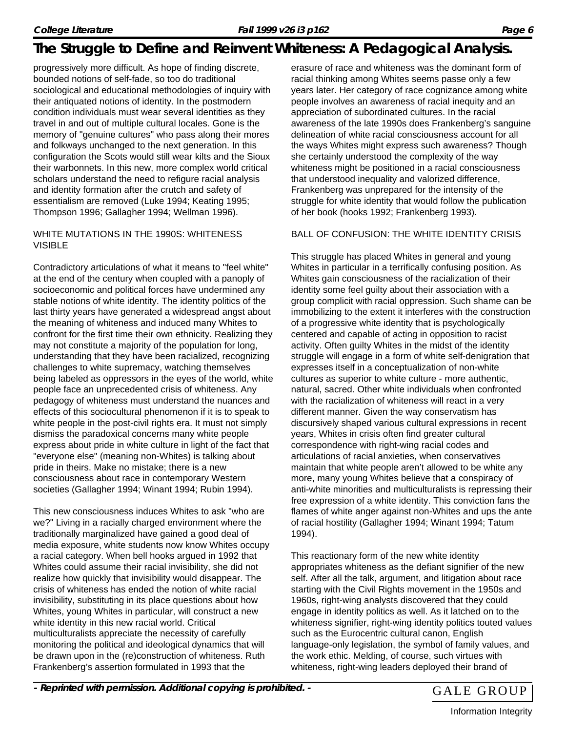progressively more difficult. As hope of finding discrete, bounded notions of self-fade, so too do traditional sociological and educational methodologies of inquiry with their antiquated notions of identity. In the postmodern condition individuals must wear several identities as they travel in and out of multiple cultural locales. Gone is the memory of "genuine cultures" who pass along their mores and folkways unchanged to the next generation. In this configuration the Scots would still wear kilts and the Sioux their warbonnets. In this new, more complex world critical scholars understand the need to refigure racial analysis and identity formation after the crutch and safety of essentialism are removed (Luke 1994; Keating 1995; Thompson 1996; Gallagher 1994; Wellman 1996).

#### WHITE MUTATIONS IN THE 1990S: WHITENESS VISIBLE

Contradictory articulations of what it means to "feel white" at the end of the century when coupled with a panoply of socioeconomic and political forces have undermined any stable notions of white identity. The identity politics of the last thirty years have generated a widespread angst about the meaning of whiteness and induced many Whites to confront for the first time their own ethnicity. Realizing they may not constitute a majority of the population for long, understanding that they have been racialized, recognizing challenges to white supremacy, watching themselves being labeled as oppressors in the eyes of the world, white people face an unprecedented crisis of whiteness. Any pedagogy of whiteness must understand the nuances and effects of this sociocultural phenomenon if it is to speak to white people in the post-civil rights era. It must not simply dismiss the paradoxical concerns many white people express about pride in white culture in light of the fact that "everyone else" (meaning non-Whites) is talking about pride in theirs. Make no mistake; there is a new consciousness about race in contemporary Western societies (Gallagher 1994; Winant 1994; Rubin 1994).

This new consciousness induces Whites to ask "who are we?" Living in a racially charged environment where the traditionally marginalized have gained a good deal of media exposure, white students now know Whites occupy a racial category. When bell hooks argued in 1992 that Whites could assume their racial invisibility, she did not realize how quickly that invisibility would disappear. The crisis of whiteness has ended the notion of white racial invisibility, substituting in its place questions about how Whites, young Whites in particular, will construct a new white identity in this new racial world. Critical multiculturalists appreciate the necessity of carefully monitoring the political and ideological dynamics that will be drawn upon in the (re)construction of whiteness. Ruth Frankenberg's assertion formulated in 1993 that the

erasure of race and whiteness was the dominant form of racial thinking among Whites seems passe only a few years later. Her category of race cognizance among white people involves an awareness of racial inequity and an appreciation of subordinated cultures. In the racial awareness of the late 1990s does Frankenberg's sanguine delineation of white racial consciousness account for all the ways Whites might express such awareness? Though she certainly understood the complexity of the way whiteness might be positioned in a racial consciousness that understood inequality and valorized difference, Frankenberg was unprepared for the intensity of the struggle for white identity that would follow the publication of her book (hooks 1992; Frankenberg 1993).

### BALL OF CONFUSION: THE WHITE IDENTITY CRISIS

This struggle has placed Whites in general and young Whites in particular in a terrifically confusing position. As Whites gain consciousness of the racialization of their identity some feel guilty about their association with a group complicit with racial oppression. Such shame can be immobilizing to the extent it interferes with the construction of a progressive white identity that is psychologically centered and capable of acting in opposition to racist activity. Often guilty Whites in the midst of the identity struggle will engage in a form of white self-denigration that expresses itself in a conceptualization of non-white cultures as superior to white culture - more authentic, natural, sacred. Other white individuals when confronted with the racialization of whiteness will react in a very different manner. Given the way conservatism has discursively shaped various cultural expressions in recent years, Whites in crisis often find greater cultural correspondence with right-wing racial codes and articulations of racial anxieties, when conservatives maintain that white people aren't allowed to be white any more, many young Whites believe that a conspiracy of anti-white minorities and multiculturalists is repressing their free expression of a white identity. This conviction fans the flames of white anger against non-Whites and ups the ante of racial hostility (Gallagher 1994; Winant 1994; Tatum 1994).

This reactionary form of the new white identity appropriates whiteness as the defiant signifier of the new self. After all the talk, argument, and litigation about race starting with the Civil Rights movement in the 1950s and 1960s, right-wing analysts discovered that they could engage in identity politics as well. As it latched on to the whiteness signifier, right-wing identity politics touted values such as the Eurocentric cultural canon, English language-only legislation, the symbol of family values, and the work ethic. Melding, of course, such virtues with whiteness, right-wing leaders deployed their brand of

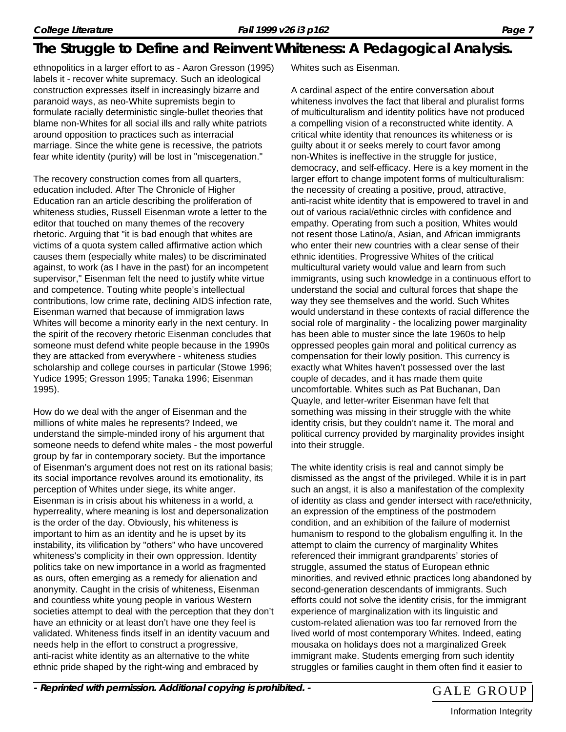ethnopolitics in a larger effort to as - Aaron Gresson (1995) labels it - recover white supremacy. Such an ideological construction expresses itself in increasingly bizarre and paranoid ways, as neo-White supremists begin to formulate racially deterministic single-bullet theories that blame non-Whites for all social ills and rally white patriots around opposition to practices such as interracial marriage. Since the white gene is recessive, the patriots fear white identity (purity) will be lost in "miscegenation."

The recovery construction comes from all quarters, education included. After The Chronicle of Higher Education ran an article describing the proliferation of whiteness studies, Russell Eisenman wrote a letter to the editor that touched on many themes of the recovery rhetoric. Arguing that "it is bad enough that whites are victims of a quota system called affirmative action which causes them (especially white males) to be discriminated against, to work (as I have in the past) for an incompetent supervisor," Eisenman felt the need to justify white virtue and competence. Touting white people's intellectual contributions, low crime rate, declining AIDS infection rate, Eisenman warned that because of immigration laws Whites will become a minority early in the next century. In the spirit of the recovery rhetoric Eisenman concludes that someone must defend white people because in the 1990s they are attacked from everywhere - whiteness studies scholarship and college courses in particular (Stowe 1996; Yudice 1995; Gresson 1995; Tanaka 1996; Eisenman 1995).

How do we deal with the anger of Eisenman and the millions of white males he represents? Indeed, we understand the simple-minded irony of his argument that someone needs to defend white males - the most powerful group by far in contemporary society. But the importance of Eisenman's argument does not rest on its rational basis; its social importance revolves around its emotionality, its perception of Whites under siege, its white anger. Eisenman is in crisis about his whiteness in a world, a hyperreality, where meaning is lost and depersonalization is the order of the day. Obviously, his whiteness is important to him as an identity and he is upset by its instability, its vilification by "others" who have uncovered whiteness's complicity in their own oppression. Identity politics take on new importance in a world as fragmented as ours, often emerging as a remedy for alienation and anonymity. Caught in the crisis of whiteness, Eisenman and countless white young people in various Western societies attempt to deal with the perception that they don't have an ethnicity or at least don't have one they feel is validated. Whiteness finds itself in an identity vacuum and needs help in the effort to construct a progressive, anti-racist white identity as an alternative to the white ethnic pride shaped by the right-wing and embraced by

Whites such as Eisenman.

A cardinal aspect of the entire conversation about whiteness involves the fact that liberal and pluralist forms of multiculturalism and identity politics have not produced a compelling vision of a reconstructed white identity. A critical white identity that renounces its whiteness or is guilty about it or seeks merely to court favor among non-Whites is ineffective in the struggle for justice, democracy, and self-efficacy. Here is a key moment in the larger effort to change impotent forms of multiculturalism: the necessity of creating a positive, proud, attractive, anti-racist white identity that is empowered to travel in and out of various racial/ethnic circles with confidence and empathy. Operating from such a position, Whites would not resent those Latino/a, Asian, and African immigrants who enter their new countries with a clear sense of their ethnic identities. Progressive Whites of the critical multicultural variety would value and learn from such immigrants, using such knowledge in a continuous effort to understand the social and cultural forces that shape the way they see themselves and the world. Such Whites would understand in these contexts of racial difference the social role of marginality - the localizing power marginality has been able to muster since the late 1960s to help oppressed peoples gain moral and political currency as compensation for their lowly position. This currency is exactly what Whites haven't possessed over the last couple of decades, and it has made them quite uncomfortable. Whites such as Pat Buchanan, Dan Quayle, and letter-writer Eisenman have felt that something was missing in their struggle with the white identity crisis, but they couldn't name it. The moral and political currency provided by marginality provides insight into their struggle.

The white identity crisis is real and cannot simply be dismissed as the angst of the privileged. While it is in part such an angst, it is also a manifestation of the complexity of identity as class and gender intersect with race/ethnicity, an expression of the emptiness of the postmodern condition, and an exhibition of the failure of modernist humanism to respond to the globalism engulfing it. In the attempt to claim the currency of marginality Whites referenced their immigrant grandparents' stories of struggle, assumed the status of European ethnic minorities, and revived ethnic practices long abandoned by second-generation descendants of immigrants. Such efforts could not solve the identity crisis, for the immigrant experience of marginalization with its linguistic and custom-related alienation was too far removed from the lived world of most contemporary Whites. Indeed, eating mousaka on holidays does not a marginalized Greek immigrant make. Students emerging from such identity struggles or families caught in them often find it easier to

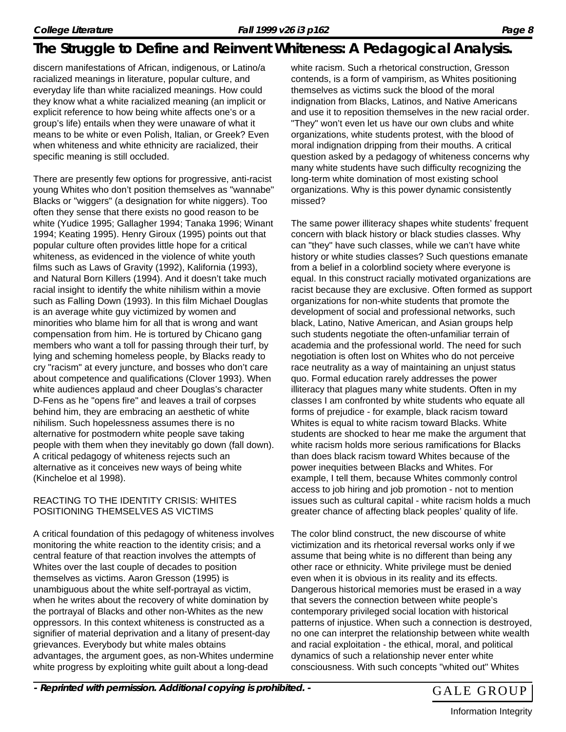discern manifestations of African, indigenous, or Latino/a racialized meanings in literature, popular culture, and everyday life than white racialized meanings. How could they know what a white racialized meaning (an implicit or explicit reference to how being white affects one's or a group's life) entails when they were unaware of what it means to be white or even Polish, Italian, or Greek? Even when whiteness and white ethnicity are racialized, their specific meaning is still occluded.

There are presently few options for progressive, anti-racist young Whites who don't position themselves as "wannabe" Blacks or "wiggers" (a designation for white niggers). Too often they sense that there exists no good reason to be white (Yudice 1995; Gallagher 1994; Tanaka 1996; Winant 1994; Keating 1995). Henry Giroux (1995) points out that popular culture often provides little hope for a critical whiteness, as evidenced in the violence of white youth films such as Laws of Gravity (1992), Kalifornia (1993), and Natural Born Killers (1994). And it doesn't take much racial insight to identify the white nihilism within a movie such as Falling Down (1993). In this film Michael Douglas is an average white guy victimized by women and minorities who blame him for all that is wrong and want compensation from him. He is tortured by Chicano gang members who want a toll for passing through their turf, by lying and scheming homeless people, by Blacks ready to cry "racism" at every juncture, and bosses who don't care about competence and qualifications (Clover 1993). When white audiences applaud and cheer Douglas's character D-Fens as he "opens fire" and leaves a trail of corpses behind him, they are embracing an aesthetic of white nihilism. Such hopelessness assumes there is no alternative for postmodern white people save taking people with them when they inevitably go down (fall down). A critical pedagogy of whiteness rejects such an alternative as it conceives new ways of being white (Kincheloe et al 1998).

### REACTING TO THE IDENTITY CRISIS: WHITES POSITIONING THEMSELVES AS VICTIMS

A critical foundation of this pedagogy of whiteness involves monitoring the white reaction to the identity crisis; and a central feature of that reaction involves the attempts of Whites over the last couple of decades to position themselves as victims. Aaron Gresson (1995) is unambiguous about the white self-portrayal as victim, when he writes about the recovery of white domination by the portrayal of Blacks and other non-Whites as the new oppressors. In this context whiteness is constructed as a signifier of material deprivation and a litany of present-day grievances. Everybody but white males obtains advantages, the argument goes, as non-Whites undermine white progress by exploiting white guilt about a long-dead

white racism. Such a rhetorical construction, Gresson contends, is a form of vampirism, as Whites positioning themselves as victims suck the blood of the moral indignation from Blacks, Latinos, and Native Americans and use it to reposition themselves in the new racial order. "They" won't even let us have our own clubs and white organizations, white students protest, with the blood of moral indignation dripping from their mouths. A critical question asked by a pedagogy of whiteness concerns why many white students have such difficulty recognizing the long-term white domination of most existing school organizations. Why is this power dynamic consistently missed?

The same power illiteracy shapes white students' frequent concern with black history or black studies classes. Why can "they" have such classes, while we can't have white history or white studies classes? Such questions emanate from a belief in a colorblind society where everyone is equal. In this construct racially motivated organizations are racist because they are exclusive. Often formed as support organizations for non-white students that promote the development of social and professional networks, such black, Latino, Native American, and Asian groups help such students negotiate the often-unfamiliar terrain of academia and the professional world. The need for such negotiation is often lost on Whites who do not perceive race neutrality as a way of maintaining an unjust status quo. Formal education rarely addresses the power illiteracy that plagues many white students. Often in my classes I am confronted by white students who equate all forms of prejudice - for example, black racism toward Whites is equal to white racism toward Blacks. White students are shocked to hear me make the argument that white racism holds more serious ramifications for Blacks than does black racism toward Whites because of the power inequities between Blacks and Whites. For example, I tell them, because Whites commonly control access to job hiring and job promotion - not to mention issues such as cultural capital - white racism holds a much greater chance of affecting black peoples' quality of life.

The color blind construct, the new discourse of white victimization and its rhetorical reversal works only if we assume that being white is no different than being any other race or ethnicity. White privilege must be denied even when it is obvious in its reality and its effects. Dangerous historical memories must be erased in a way that severs the connection between white people's contemporary privileged social location with historical patterns of injustice. When such a connection is destroyed, no one can interpret the relationship between white wealth and racial exploitation - the ethical, moral, and political dynamics of such a relationship never enter white consciousness. With such concepts "whited out" Whites

- Reprinted with permission. Additional copying is prohibited. - GALE GROUP

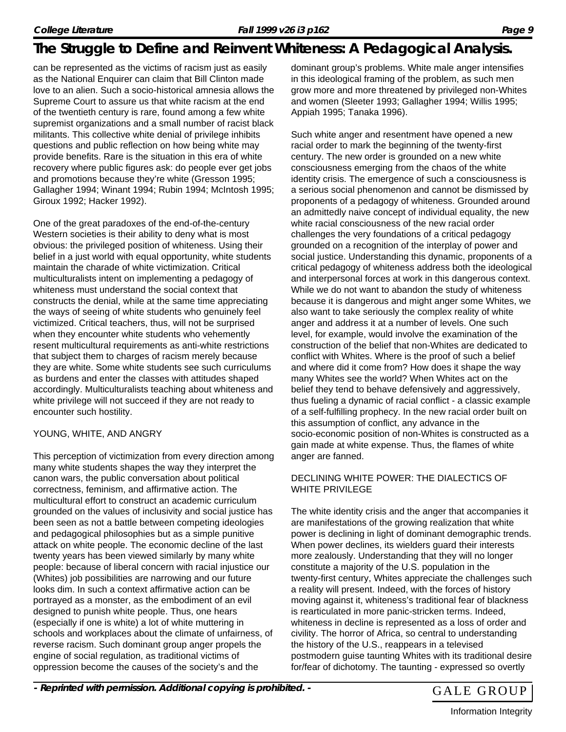can be represented as the victims of racism just as easily as the National Enquirer can claim that Bill Clinton made love to an alien. Such a socio-historical amnesia allows the Supreme Court to assure us that white racism at the end of the twentieth century is rare, found among a few white supremist organizations and a small number of racist black militants. This collective white denial of privilege inhibits questions and public reflection on how being white may provide benefits. Rare is the situation in this era of white recovery where public figures ask: do people ever get jobs and promotions because they're white (Gresson 1995; Gallagher 1994; Winant 1994; Rubin 1994; McIntosh 1995; Giroux 1992; Hacker 1992).

One of the great paradoxes of the end-of-the-century Western societies is their ability to deny what is most obvious: the privileged position of whiteness. Using their belief in a just world with equal opportunity, white students maintain the charade of white victimization. Critical multiculturalists intent on implementing a pedagogy of whiteness must understand the social context that constructs the denial, while at the same time appreciating the ways of seeing of white students who genuinely feel victimized. Critical teachers, thus, will not be surprised when they encounter white students who vehemently resent multicultural requirements as anti-white restrictions that subject them to charges of racism merely because they are white. Some white students see such curriculums as burdens and enter the classes with attitudes shaped accordingly. Multiculturalists teaching about whiteness and white privilege will not succeed if they are not ready to encounter such hostility.

### YOUNG, WHITE, AND ANGRY

This perception of victimization from every direction among many white students shapes the way they interpret the canon wars, the public conversation about political correctness, feminism, and affirmative action. The multicultural effort to construct an academic curriculum grounded on the values of inclusivity and social justice has been seen as not a battle between competing ideologies and pedagogical philosophies but as a simple punitive attack on white people. The economic decline of the last twenty years has been viewed similarly by many white people: because of liberal concern with racial injustice our (Whites) job possibilities are narrowing and our future looks dim. In such a context affirmative action can be portrayed as a monster, as the embodiment of an evil designed to punish white people. Thus, one hears (especially if one is white) a lot of white muttering in schools and workplaces about the climate of unfairness, of reverse racism. Such dominant group anger propels the engine of social regulation, as traditional victims of oppression become the causes of the society's and the

dominant group's problems. White male anger intensifies in this ideological framing of the problem, as such men grow more and more threatened by privileged non-Whites and women (Sleeter 1993; Gallagher 1994; Willis 1995; Appiah 1995; Tanaka 1996).

Such white anger and resentment have opened a new racial order to mark the beginning of the twenty-first century. The new order is grounded on a new white consciousness emerging from the chaos of the white identity crisis. The emergence of such a consciousness is a serious social phenomenon and cannot be dismissed by proponents of a pedagogy of whiteness. Grounded around an admittedly naive concept of individual equality, the new white racial consciousness of the new racial order challenges the very foundations of a critical pedagogy grounded on a recognition of the interplay of power and social justice. Understanding this dynamic, proponents of a critical pedagogy of whiteness address both the ideological and interpersonal forces at work in this dangerous context. While we do not want to abandon the study of whiteness because it is dangerous and might anger some Whites, we also want to take seriously the complex reality of white anger and address it at a number of levels. One such level, for example, would involve the examination of the construction of the belief that non-Whites are dedicated to conflict with Whites. Where is the proof of such a belief and where did it come from? How does it shape the way many Whites see the world? When Whites act on the belief they tend to behave defensively and aggressively, thus fueling a dynamic of racial conflict - a classic example of a self-fulfilling prophecy. In the new racial order built on this assumption of conflict, any advance in the socio-economic position of non-Whites is constructed as a gain made at white expense. Thus, the flames of white anger are fanned.

#### DECLINING WHITE POWER: THE DIALECTICS OF WHITE PRIVILEGE

The white identity crisis and the anger that accompanies it are manifestations of the growing realization that white power is declining in light of dominant demographic trends. When power declines, its wielders guard their interests more zealously. Understanding that they will no longer constitute a majority of the U.S. population in the twenty-first century, Whites appreciate the challenges such a reality will present. Indeed, with the forces of history moving against it, whiteness's traditional fear of blackness is rearticulated in more panic-stricken terms. Indeed, whiteness in decline is represented as a loss of order and civility. The horror of Africa, so central to understanding the history of the U.S., reappears in a televised postmodern guise taunting Whites with its traditional desire for/fear of dichotomy. The taunting - expressed so overtly

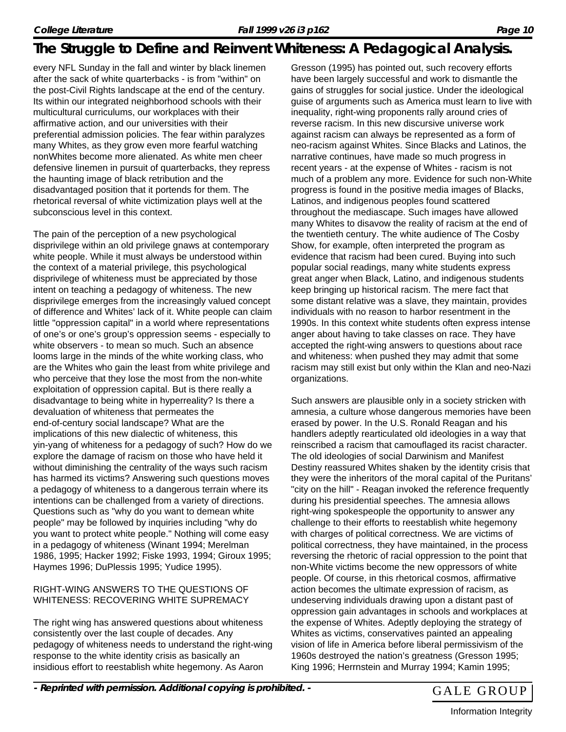every NFL Sunday in the fall and winter by black linemen after the sack of white quarterbacks - is from "within" on the post-Civil Rights landscape at the end of the century. Its within our integrated neighborhood schools with their multicultural curriculums, our workplaces with their affirmative action, and our universities with their preferential admission policies. The fear within paralyzes many Whites, as they grow even more fearful watching nonWhites become more alienated. As white men cheer defensive linemen in pursuit of quarterbacks, they repress the haunting image of black retribution and the disadvantaged position that it portends for them. The rhetorical reversal of white victimization plays well at the subconscious level in this context.

The pain of the perception of a new psychological disprivilege within an old privilege gnaws at contemporary white people. While it must always be understood within the context of a material privilege, this psychological disprivilege of whiteness must be appreciated by those intent on teaching a pedagogy of whiteness. The new disprivilege emerges from the increasingly valued concept of difference and Whites' lack of it. White people can claim little "oppression capital" in a world where representations of one's or one's group's oppression seems - especially to white observers - to mean so much. Such an absence looms large in the minds of the white working class, who are the Whites who gain the least from white privilege and who perceive that they lose the most from the non-white exploitation of oppression capital. But is there really a disadvantage to being white in hyperreality? Is there a devaluation of whiteness that permeates the end-of-century social landscape? What are the implications of this new dialectic of whiteness, this yin-yang of whiteness for a pedagogy of such? How do we explore the damage of racism on those who have held it without diminishing the centrality of the ways such racism has harmed its victims? Answering such questions moves a pedagogy of whiteness to a dangerous terrain where its intentions can be challenged from a variety of directions. Questions such as "why do you want to demean white people" may be followed by inquiries including "why do you want to protect white people." Nothing will come easy in a pedagogy of whiteness (Winant 1994; Merelman 1986, 1995; Hacker 1992; Fiske 1993, 1994; Giroux 1995; Haymes 1996; DuPlessis 1995; Yudice 1995).

#### RIGHT-WING ANSWERS TO THE QUESTIONS OF WHITENESS: RECOVERING WHITE SUPREMACY

The right wing has answered questions about whiteness consistently over the last couple of decades. Any pedagogy of whiteness needs to understand the right-wing response to the white identity crisis as basically an insidious effort to reestablish white hegemony. As Aaron

Gresson (1995) has pointed out, such recovery efforts have been largely successful and work to dismantle the gains of struggles for social justice. Under the ideological guise of arguments such as America must learn to live with inequality, right-wing proponents rally around cries of reverse racism. In this new discursive universe work against racism can always be represented as a form of neo-racism against Whites. Since Blacks and Latinos, the narrative continues, have made so much progress in recent years - at the expense of Whites - racism is not much of a problem any more. Evidence for such non-White progress is found in the positive media images of Blacks, Latinos, and indigenous peoples found scattered throughout the mediascape. Such images have allowed many Whites to disavow the reality of racism at the end of the twentieth century. The white audience of The Cosby Show, for example, often interpreted the program as evidence that racism had been cured. Buying into such popular social readings, many white students express great anger when Black, Latino, and indigenous students keep bringing up historical racism. The mere fact that some distant relative was a slave, they maintain, provides individuals with no reason to harbor resentment in the 1990s. In this context white students often express intense anger about having to take classes on race. They have accepted the right-wing answers to questions about race and whiteness: when pushed they may admit that some racism may still exist but only within the Klan and neo-Nazi organizations.

Such answers are plausible only in a society stricken with amnesia, a culture whose dangerous memories have been erased by power. In the U.S. Ronald Reagan and his handlers adeptly rearticulated old ideologies in a way that reinscribed a racism that camouflaged its racist character. The old ideologies of social Darwinism and Manifest Destiny reassured Whites shaken by the identity crisis that they were the inheritors of the moral capital of the Puritans' "city on the hill" - Reagan invoked the reference frequently during his presidential speeches. The amnesia allows right-wing spokespeople the opportunity to answer any challenge to their efforts to reestablish white hegemony with charges of political correctness. We are victims of political correctness, they have maintained, in the process reversing the rhetoric of racial oppression to the point that non-White victims become the new oppressors of white people. Of course, in this rhetorical cosmos, affirmative action becomes the ultimate expression of racism, as undeserving individuals drawing upon a distant past of oppression gain advantages in schools and workplaces at the expense of Whites. Adeptly deploying the strategy of Whites as victims, conservatives painted an appealing vision of life in America before liberal permissivism of the 1960s destroyed the nation's greatness (Gresson 1995; King 1996; Herrnstein and Murray 1994; Kamin 1995;

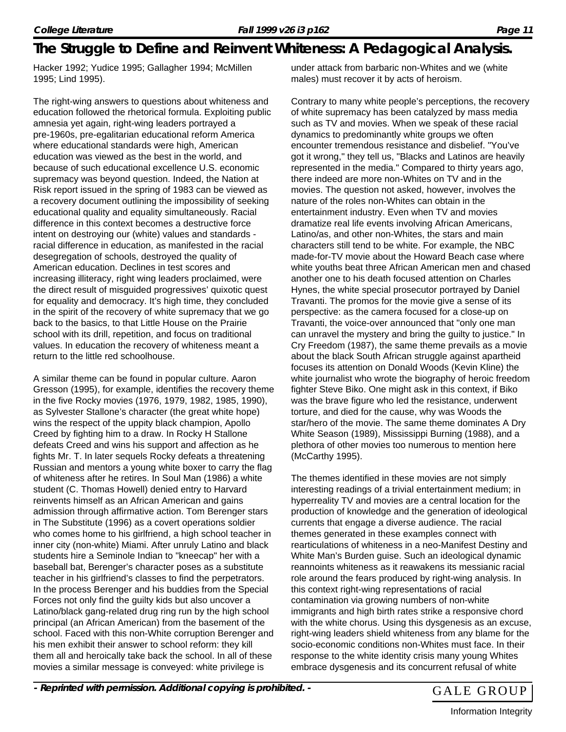Hacker 1992; Yudice 1995; Gallagher 1994; McMillen 1995; Lind 1995).

The right-wing answers to questions about whiteness and education followed the rhetorical formula. Exploiting public amnesia yet again, right-wing leaders portrayed a pre-1960s, pre-egalitarian educational reform America where educational standards were high, American education was viewed as the best in the world, and because of such educational excellence U.S. economic supremacy was beyond question. Indeed, the Nation at Risk report issued in the spring of 1983 can be viewed as a recovery document outlining the impossibility of seeking educational quality and equality simultaneously. Racial difference in this context becomes a destructive force intent on destroying our (white) values and standards racial difference in education, as manifested in the racial desegregation of schools, destroyed the quality of American education. Declines in test scores and increasing illiteracy, right wing leaders proclaimed, were the direct result of misguided progressives' quixotic quest for equality and democracy. It's high time, they concluded in the spirit of the recovery of white supremacy that we go back to the basics, to that Little House on the Prairie school with its drill, repetition, and focus on traditional values. In education the recovery of whiteness meant a return to the little red schoolhouse.

A similar theme can be found in popular culture. Aaron Gresson (1995), for example, identifies the recovery theme in the five Rocky movies (1976, 1979, 1982, 1985, 1990), as Sylvester Stallone's character (the great white hope) wins the respect of the uppity black champion, Apollo Creed by fighting him to a draw. In Rocky H Stallone defeats Creed and wins his support and affection as he fights Mr. T. In later sequels Rocky defeats a threatening Russian and mentors a young white boxer to carry the flag of whiteness after he retires. In Soul Man (1986) a white student (C. Thomas Howell) denied entry to Harvard reinvents himself as an African American and gains admission through affirmative action. Tom Berenger stars in The Substitute (1996) as a covert operations soldier who comes home to his girlfriend, a high school teacher in inner city (non-white) Miami. After unruly Latino and black students hire a Seminole Indian to "kneecap" her with a baseball bat, Berenger's character poses as a substitute teacher in his girlfriend's classes to find the perpetrators. In the process Berenger and his buddies from the Special Forces not only find the guilty kids but also uncover a Latino/black gang-related drug ring run by the high school principal (an African American) from the basement of the school. Faced with this non-White corruption Berenger and his men exhibit their answer to school reform: they kill them all and heroically take back the school. In all of these movies a similar message is conveyed: white privilege is

under attack from barbaric non-Whites and we (white males) must recover it by acts of heroism.

Contrary to many white people's perceptions, the recovery of white supremacy has been catalyzed by mass media such as TV and movies. When we speak of these racial dynamics to predominantly white groups we often encounter tremendous resistance and disbelief. "You've got it wrong," they tell us, "Blacks and Latinos are heavily represented in the media." Compared to thirty years ago, there indeed are more non-Whites on TV and in the movies. The question not asked, however, involves the nature of the roles non-Whites can obtain in the entertainment industry. Even when TV and movies dramatize real life events involving African Americans, Latino/as, and other non-Whites, the stars and main characters still tend to be white. For example, the NBC made-for-TV movie about the Howard Beach case where white youths beat three African American men and chased another one to his death focused attention on Charles Hynes, the white special prosecutor portrayed by Daniel Travanti. The promos for the movie give a sense of its perspective: as the camera focused for a close-up on Travanti, the voice-over announced that "only one man can unravel the mystery and bring the guilty to justice." In Cry Freedom (1987), the same theme prevails as a movie about the black South African struggle against apartheid focuses its attention on Donald Woods (Kevin Kline) the white journalist who wrote the biography of heroic freedom fighter Steve Biko. One might ask in this context, if Biko was the brave figure who led the resistance, underwent torture, and died for the cause, why was Woods the star/hero of the movie. The same theme dominates A Dry White Season (1989), Mississippi Burning (1988), and a plethora of other movies too numerous to mention here (McCarthy 1995).

The themes identified in these movies are not simply interesting readings of a trivial entertainment medium; in hyperreality TV and movies are a central location for the production of knowledge and the generation of ideological currents that engage a diverse audience. The racial themes generated in these examples connect with rearticulations of whiteness in a neo-Manifest Destiny and White Man's Burden guise. Such an ideological dynamic reannoints whiteness as it reawakens its messianic racial role around the fears produced by right-wing analysis. In this context right-wing representations of racial contamination via growing numbers of non-white immigrants and high birth rates strike a responsive chord with the white chorus. Using this dysgenesis as an excuse, right-wing leaders shield whiteness from any blame for the socio-economic conditions non-Whites must face. In their response to the white identity crisis many young Whites embrace dysgenesis and its concurrent refusal of white

- Reprinted with permission. Additional copying is prohibited. - GALE GROUP

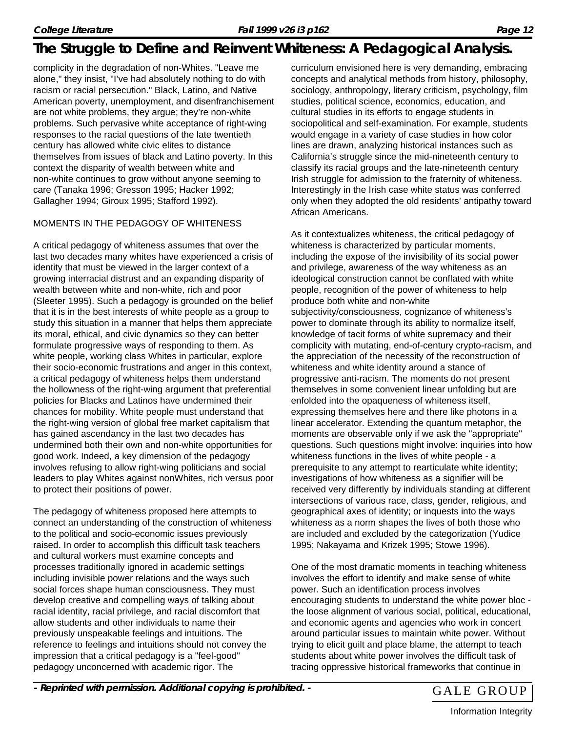complicity in the degradation of non-Whites. "Leave me alone," they insist, "I've had absolutely nothing to do with racism or racial persecution." Black, Latino, and Native American poverty, unemployment, and disenfranchisement are not white problems, they argue; they're non-white problems. Such pervasive white acceptance of right-wing responses to the racial questions of the late twentieth century has allowed white civic elites to distance themselves from issues of black and Latino poverty. In this context the disparity of wealth between white and non-white continues to grow without anyone seeming to care (Tanaka 1996; Gresson 1995; Hacker 1992; Gallagher 1994; Giroux 1995; Stafford 1992).

### MOMENTS IN THE PEDAGOGY OF WHITENESS

A critical pedagogy of whiteness assumes that over the last two decades many whites have experienced a crisis of identity that must be viewed in the larger context of a growing interracial distrust and an expanding disparity of wealth between white and non-white, rich and poor (Sleeter 1995). Such a pedagogy is grounded on the belief that it is in the best interests of white people as a group to study this situation in a manner that helps them appreciate its moral, ethical, and civic dynamics so they can better formulate progressive ways of responding to them. As white people, working class Whites in particular, explore their socio-economic frustrations and anger in this context, a critical pedagogy of whiteness helps them understand the hollowness of the right-wing argument that preferential policies for Blacks and Latinos have undermined their chances for mobility. White people must understand that the right-wing version of global free market capitalism that has gained ascendancy in the last two decades has undermined both their own and non-white opportunities for good work. Indeed, a key dimension of the pedagogy involves refusing to allow right-wing politicians and social leaders to play Whites against nonWhites, rich versus poor to protect their positions of power.

The pedagogy of whiteness proposed here attempts to connect an understanding of the construction of whiteness to the political and socio-economic issues previously raised. In order to accomplish this difficult task teachers and cultural workers must examine concepts and processes traditionally ignored in academic settings including invisible power relations and the ways such social forces shape human consciousness. They must develop creative and compelling ways of talking about racial identity, racial privilege, and racial discomfort that allow students and other individuals to name their previously unspeakable feelings and intuitions. The reference to feelings and intuitions should not convey the impression that a critical pedagogy is a "feel-good" pedagogy unconcerned with academic rigor. The

curriculum envisioned here is very demanding, embracing concepts and analytical methods from history, philosophy, sociology, anthropology, literary criticism, psychology, film studies, political science, economics, education, and cultural studies in its efforts to engage students in sociopolitical and self-examination. For example, students would engage in a variety of case studies in how color lines are drawn, analyzing historical instances such as California's struggle since the mid-nineteenth century to classify its racial groups and the late-nineteenth century Irish struggle for admission to the fraternity of whiteness. Interestingly in the Irish case white status was conferred only when they adopted the old residents' antipathy toward African Americans.

As it contextualizes whiteness, the critical pedagogy of whiteness is characterized by particular moments, including the expose of the invisibility of its social power and privilege, awareness of the way whiteness as an ideological construction cannot be conflated with white people, recognition of the power of whiteness to help produce both white and non-white subjectivity/consciousness, cognizance of whiteness's power to dominate through its ability to normalize itself, knowledge of tacit forms of white supremacy and their complicity with mutating, end-of-century crypto-racism, and the appreciation of the necessity of the reconstruction of whiteness and white identity around a stance of progressive anti-racism. The moments do not present themselves in some convenient linear unfolding but are enfolded into the opaqueness of whiteness itself, expressing themselves here and there like photons in a linear accelerator. Extending the quantum metaphor, the moments are observable only if we ask the "appropriate" questions. Such questions might involve: inquiries into how whiteness functions in the lives of white people - a prerequisite to any attempt to rearticulate white identity; investigations of how whiteness as a signifier will be received very differently by individuals standing at different intersections of various race, class, gender, religious, and geographical axes of identity; or inquests into the ways whiteness as a norm shapes the lives of both those who are included and excluded by the categorization (Yudice 1995; Nakayama and Krizek 1995; Stowe 1996).

One of the most dramatic moments in teaching whiteness involves the effort to identify and make sense of white power. Such an identification process involves encouraging students to understand the white power bloc the loose alignment of various social, political, educational, and economic agents and agencies who work in concert around particular issues to maintain white power. Without trying to elicit guilt and place blame, the attempt to teach students about white power involves the difficult task of tracing oppressive historical frameworks that continue in

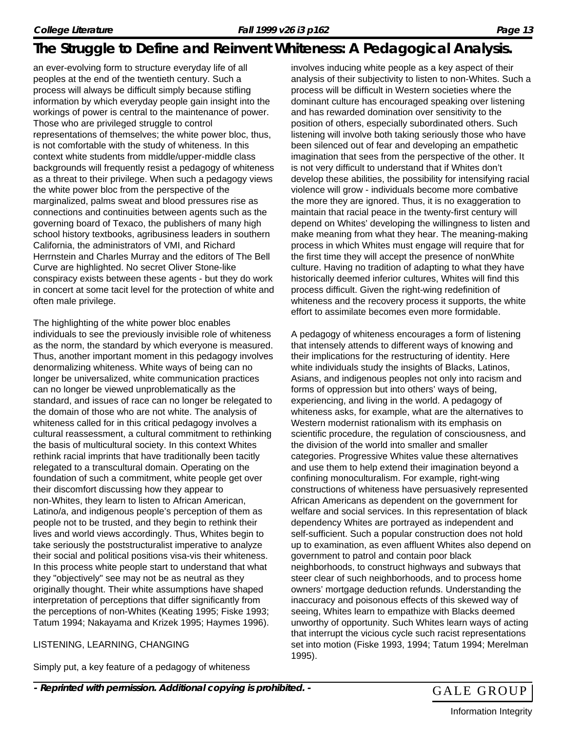an ever-evolving form to structure everyday life of all peoples at the end of the twentieth century. Such a process will always be difficult simply because stifling information by which everyday people gain insight into the workings of power is central to the maintenance of power. Those who are privileged struggle to control representations of themselves; the white power bloc, thus, is not comfortable with the study of whiteness. In this context white students from middle/upper-middle class backgrounds will frequently resist a pedagogy of whiteness as a threat to their privilege. When such a pedagogy views the white power bloc from the perspective of the marginalized, palms sweat and blood pressures rise as connections and continuities between agents such as the governing board of Texaco, the publishers of many high school history textbooks, agribusiness leaders in southern California, the administrators of VMI, and Richard Herrnstein and Charles Murray and the editors of The Bell Curve are highlighted. No secret Oliver Stone-like conspiracy exists between these agents - but they do work in concert at some tacit level for the protection of white and often male privilege.

The highlighting of the white power bloc enables individuals to see the previously invisible role of whiteness as the norm, the standard by which everyone is measured. Thus, another important moment in this pedagogy involves denormalizing whiteness. White ways of being can no longer be universalized, white communication practices can no longer be viewed unproblematically as the standard, and issues of race can no longer be relegated to the domain of those who are not white. The analysis of whiteness called for in this critical pedagogy involves a cultural reassessment, a cultural commitment to rethinking the basis of multicultural society. In this context Whites rethink racial imprints that have traditionally been tacitly relegated to a transcultural domain. Operating on the foundation of such a commitment, white people get over their discomfort discussing how they appear to non-Whites, they learn to listen to African American, Latino/a, and indigenous people's perception of them as people not to be trusted, and they begin to rethink their lives and world views accordingly. Thus, Whites begin to take seriously the poststructuralist imperative to analyze their social and political positions visa-vis their whiteness. In this process white people start to understand that what they "objectively" see may not be as neutral as they originally thought. Their white assumptions have shaped interpretation of perceptions that differ significantly from the perceptions of non-Whites (Keating 1995; Fiske 1993; Tatum 1994; Nakayama and Krizek 1995; Haymes 1996).

### LISTENING, LEARNING, CHANGING

Simply put, a key feature of a pedagogy of whiteness

involves inducing white people as a key aspect of their analysis of their subjectivity to listen to non-Whites. Such a process will be difficult in Western societies where the dominant culture has encouraged speaking over listening and has rewarded domination over sensitivity to the position of others, especially subordinated others. Such listening will involve both taking seriously those who have been silenced out of fear and developing an empathetic imagination that sees from the perspective of the other. It is not very difficult to understand that if Whites don't develop these abilities, the possibility for intensifying racial violence will grow - individuals become more combative the more they are ignored. Thus, it is no exaggeration to maintain that racial peace in the twenty-first century will depend on Whites' developing the willingness to listen and make meaning from what they hear. The meaning-making process in which Whites must engage will require that for the first time they will accept the presence of nonWhite culture. Having no tradition of adapting to what they have historically deemed inferior cultures, Whites will find this process difficult. Given the right-wing redefinition of whiteness and the recovery process it supports, the white effort to assimilate becomes even more formidable.

A pedagogy of whiteness encourages a form of listening that intensely attends to different ways of knowing and their implications for the restructuring of identity. Here white individuals study the insights of Blacks, Latinos, Asians, and indigenous peoples not only into racism and forms of oppression but into others' ways of being, experiencing, and living in the world. A pedagogy of whiteness asks, for example, what are the alternatives to Western modernist rationalism with its emphasis on scientific procedure, the regulation of consciousness, and the division of the world into smaller and smaller categories. Progressive Whites value these alternatives and use them to help extend their imagination beyond a confining monoculturalism. For example, right-wing constructions of whiteness have persuasively represented African Americans as dependent on the government for welfare and social services. In this representation of black dependency Whites are portrayed as independent and self-sufficient. Such a popular construction does not hold up to examination, as even affluent Whites also depend on government to patrol and contain poor black neighborhoods, to construct highways and subways that steer clear of such neighborhoods, and to process home owners' mortgage deduction refunds. Understanding the inaccuracy and poisonous effects of this skewed way of seeing, Whites learn to empathize with Blacks deemed unworthy of opportunity. Such Whites learn ways of acting that interrupt the vicious cycle such racist representations set into motion (Fiske 1993, 1994; Tatum 1994; Merelman 1995).

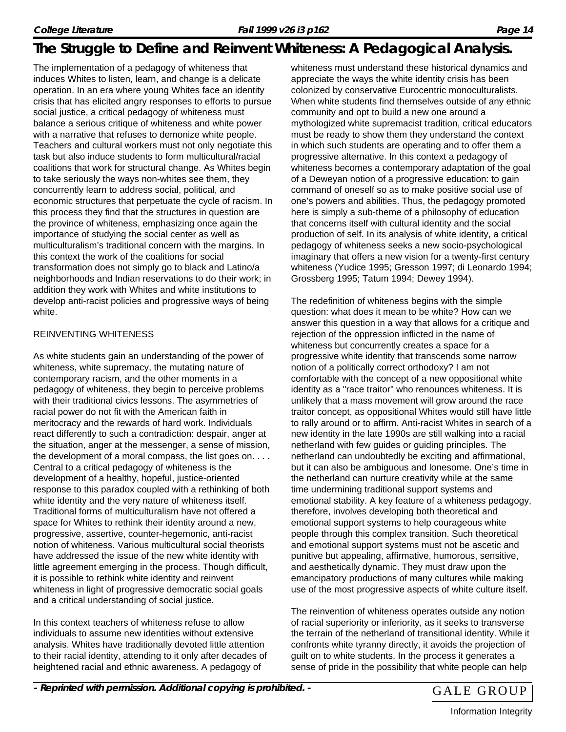The implementation of a pedagogy of whiteness that induces Whites to listen, learn, and change is a delicate operation. In an era where young Whites face an identity crisis that has elicited angry responses to efforts to pursue social justice, a critical pedagogy of whiteness must balance a serious critique of whiteness and white power with a narrative that refuses to demonize white people. Teachers and cultural workers must not only negotiate this task but also induce students to form multicultural/racial coalitions that work for structural change. As Whites begin to take seriously the ways non-whites see them, they concurrently learn to address social, political, and economic structures that perpetuate the cycle of racism. In this process they find that the structures in question are the province of whiteness, emphasizing once again the importance of studying the social center as well as multiculturalism's traditional concern with the margins. In this context the work of the coalitions for social transformation does not simply go to black and Latino/a neighborhoods and Indian reservations to do their work; in addition they work with Whites and white institutions to develop anti-racist policies and progressive ways of being white.

### REINVENTING WHITENESS

As white students gain an understanding of the power of whiteness, white supremacy, the mutating nature of contemporary racism, and the other moments in a pedagogy of whiteness, they begin to perceive problems with their traditional civics lessons. The asymmetries of racial power do not fit with the American faith in meritocracy and the rewards of hard work. Individuals react differently to such a contradiction: despair, anger at the situation, anger at the messenger, a sense of mission, the development of a moral compass, the list goes on. . . . Central to a critical pedagogy of whiteness is the development of a healthy, hopeful, justice-oriented response to this paradox coupled with a rethinking of both white identity and the very nature of whiteness itself. Traditional forms of multiculturalism have not offered a space for Whites to rethink their identity around a new, progressive, assertive, counter-hegemonic, anti-racist notion of whiteness. Various multicultural social theorists have addressed the issue of the new white identity with little agreement emerging in the process. Though difficult, it is possible to rethink white identity and reinvent whiteness in light of progressive democratic social goals and a critical understanding of social justice.

In this context teachers of whiteness refuse to allow individuals to assume new identities without extensive analysis. Whites have traditionally devoted little attention to their racial identity, attending to it only after decades of heightened racial and ethnic awareness. A pedagogy of

whiteness must understand these historical dynamics and appreciate the ways the white identity crisis has been colonized by conservative Eurocentric monoculturalists. When white students find themselves outside of any ethnic community and opt to build a new one around a mythologized white supremacist tradition, critical educators must be ready to show them they understand the context in which such students are operating and to offer them a progressive alternative. In this context a pedagogy of whiteness becomes a contemporary adaptation of the goal of a Deweyan notion of a progressive education: to gain command of oneself so as to make positive social use of one's powers and abilities. Thus, the pedagogy promoted here is simply a sub-theme of a philosophy of education that concerns itself with cultural identity and the social production of self. In its analysis of white identity, a critical pedagogy of whiteness seeks a new socio-psychological imaginary that offers a new vision for a twenty-first century whiteness (Yudice 1995; Gresson 1997; di Leonardo 1994; Grossberg 1995; Tatum 1994; Dewey 1994).

The redefinition of whiteness begins with the simple question: what does it mean to be white? How can we answer this question in a way that allows for a critique and rejection of the oppression inflicted in the name of whiteness but concurrently creates a space for a progressive white identity that transcends some narrow notion of a politically correct orthodoxy? I am not comfortable with the concept of a new oppositional white identity as a "race traitor" who renounces whiteness. It is unlikely that a mass movement will grow around the race traitor concept, as oppositional Whites would still have little to rally around or to affirm. Anti-racist Whites in search of a new identity in the late 1990s are still walking into a racial netherland with few guides or guiding principles. The netherland can undoubtedly be exciting and affirmational, but it can also be ambiguous and lonesome. One's time in the netherland can nurture creativity while at the same time undermining traditional support systems and emotional stability. A key feature of a whiteness pedagogy, therefore, involves developing both theoretical and emotional support systems to help courageous white people through this complex transition. Such theoretical and emotional support systems must not be ascetic and punitive but appealing, affirmative, humorous, sensitive, and aesthetically dynamic. They must draw upon the emancipatory productions of many cultures while making use of the most progressive aspects of white culture itself.

The reinvention of whiteness operates outside any notion of racial superiority or inferiority, as it seeks to transverse the terrain of the netherland of transitional identity. While it confronts white tyranny directly, it avoids the projection of guilt on to white students. In the process it generates a sense of pride in the possibility that white people can help

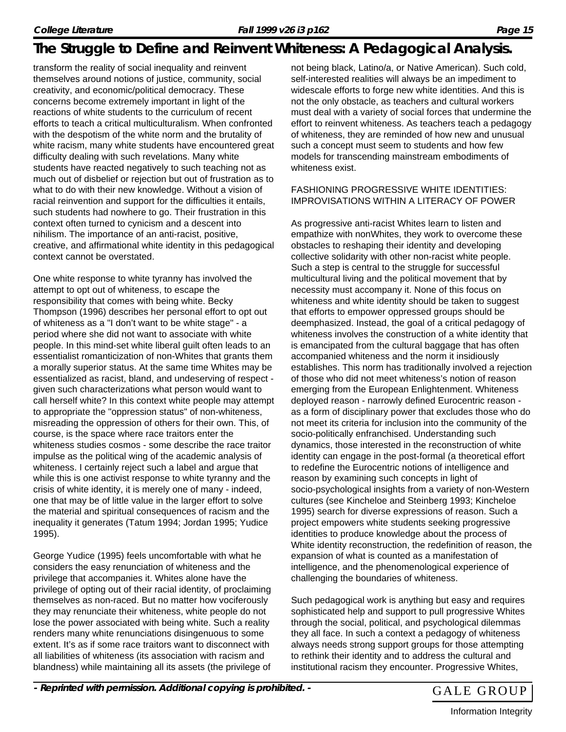transform the reality of social inequality and reinvent themselves around notions of justice, community, social creativity, and economic/political democracy. These concerns become extremely important in light of the reactions of white students to the curriculum of recent efforts to teach a critical multiculturalism. When confronted with the despotism of the white norm and the brutality of white racism, many white students have encountered great difficulty dealing with such revelations. Many white students have reacted negatively to such teaching not as much out of disbelief or rejection but out of frustration as to what to do with their new knowledge. Without a vision of racial reinvention and support for the difficulties it entails, such students had nowhere to go. Their frustration in this context often turned to cynicism and a descent into nihilism. The importance of an anti-racist, positive, creative, and affirmational white identity in this pedagogical context cannot be overstated.

One white response to white tyranny has involved the attempt to opt out of whiteness, to escape the responsibility that comes with being white. Becky Thompson (1996) describes her personal effort to opt out of whiteness as a "I don't want to be white stage" - a period where she did not want to associate with white people. In this mind-set white liberal guilt often leads to an essentialist romanticization of non-Whites that grants them a morally superior status. At the same time Whites may be essentialized as racist, bland, and undeserving of respect given such characterizations what person would want to call herself white? In this context white people may attempt to appropriate the "oppression status" of non-whiteness, misreading the oppression of others for their own. This, of course, is the space where race traitors enter the whiteness studies cosmos - some describe the race traitor impulse as the political wing of the academic analysis of whiteness. I certainly reject such a label and argue that while this is one activist response to white tyranny and the crisis of white identity, it is merely one of many - indeed, one that may be of little value in the larger effort to solve the material and spiritual consequences of racism and the inequality it generates (Tatum 1994; Jordan 1995; Yudice 1995).

George Yudice (1995) feels uncomfortable with what he considers the easy renunciation of whiteness and the privilege that accompanies it. Whites alone have the privilege of opting out of their racial identity, of proclaiming themselves as non-raced. But no matter how vociferously they may renunciate their whiteness, white people do not lose the power associated with being white. Such a reality renders many white renunciations disingenuous to some extent. It's as if some race traitors want to disconnect with all liabilities of whiteness (its association with racism and blandness) while maintaining all its assets (the privilege of not being black, Latino/a, or Native American). Such cold, self-interested realities will always be an impediment to widescale efforts to forge new white identities. And this is not the only obstacle, as teachers and cultural workers must deal with a variety of social forces that undermine the effort to reinvent whiteness. As teachers teach a pedagogy of whiteness, they are reminded of how new and unusual such a concept must seem to students and how few models for transcending mainstream embodiments of whiteness exist.

#### FASHIONING PROGRESSIVE WHITE IDENTITIES: IMPROVISATIONS WITHIN A LITERACY OF POWER

As progressive anti-racist Whites learn to listen and empathize with nonWhites, they work to overcome these obstacles to reshaping their identity and developing collective solidarity with other non-racist white people. Such a step is central to the struggle for successful multicultural living and the political movement that by necessity must accompany it. None of this focus on whiteness and white identity should be taken to suggest that efforts to empower oppressed groups should be deemphasized. Instead, the goal of a critical pedagogy of whiteness involves the construction of a white identity that is emancipated from the cultural baggage that has often accompanied whiteness and the norm it insidiously establishes. This norm has traditionally involved a rejection of those who did not meet whiteness's notion of reason emerging from the European Enlightenment. Whiteness deployed reason - narrowly defined Eurocentric reason as a form of disciplinary power that excludes those who do not meet its criteria for inclusion into the community of the socio-politically enfranchised. Understanding such dynamics, those interested in the reconstruction of white identity can engage in the post-formal (a theoretical effort to redefine the Eurocentric notions of intelligence and reason by examining such concepts in light of socio-psychological insights from a variety of non-Western cultures (see Kincheloe and Steinberg 1993; Kincheloe 1995) search for diverse expressions of reason. Such a project empowers white students seeking progressive identities to produce knowledge about the process of White identity reconstruction, the redefinition of reason, the expansion of what is counted as a manifestation of intelligence, and the phenomenological experience of challenging the boundaries of whiteness.

Such pedagogical work is anything but easy and requires sophisticated help and support to pull progressive Whites through the social, political, and psychological dilemmas they all face. In such a context a pedagogy of whiteness always needs strong support groups for those attempting to rethink their identity and to address the cultural and institutional racism they encounter. Progressive Whites,

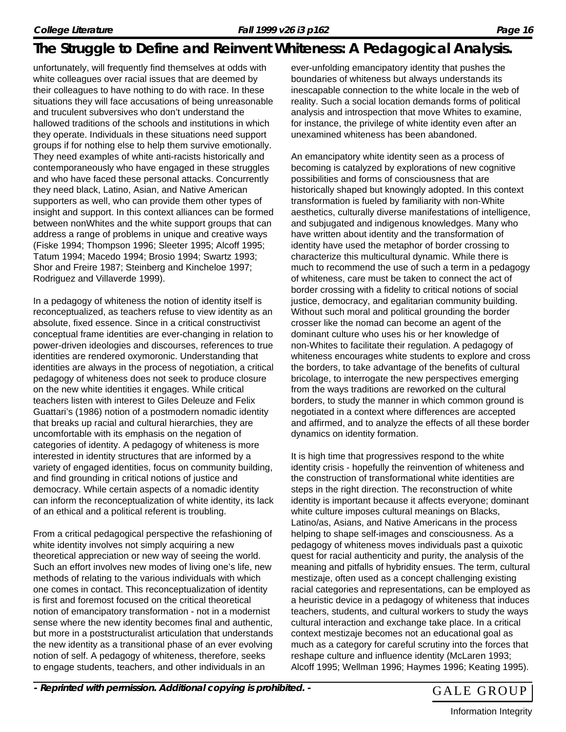unfortunately, will frequently find themselves at odds with white colleagues over racial issues that are deemed by their colleagues to have nothing to do with race. In these situations they will face accusations of being unreasonable and truculent subversives who don't understand the hallowed traditions of the schools and institutions in which they operate. Individuals in these situations need support groups if for nothing else to help them survive emotionally. They need examples of white anti-racists historically and contemporaneously who have engaged in these struggles and who have faced these personal attacks. Concurrently they need black, Latino, Asian, and Native American supporters as well, who can provide them other types of insight and support. In this context alliances can be formed between nonWhites and the white support groups that can address a range of problems in unique and creative ways (Fiske 1994; Thompson 1996; Sleeter 1995; Alcoff 1995; Tatum 1994; Macedo 1994; Brosio 1994; Swartz 1993; Shor and Freire 1987; Steinberg and Kincheloe 1997; Rodriguez and Villaverde 1999).

In a pedagogy of whiteness the notion of identity itself is reconceptualized, as teachers refuse to view identity as an absolute, fixed essence. Since in a critical constructivist conceptual frame identities are ever-changing in relation to power-driven ideologies and discourses, references to true identities are rendered oxymoronic. Understanding that identities are always in the process of negotiation, a critical pedagogy of whiteness does not seek to produce closure on the new white identities it engages. While critical teachers listen with interest to Giles Deleuze and Felix Guattari's (1986) notion of a postmodern nomadic identity that breaks up racial and cultural hierarchies, they are uncomfortable with its emphasis on the negation of categories of identity. A pedagogy of whiteness is more interested in identity structures that are informed by a variety of engaged identities, focus on community building, and find grounding in critical notions of justice and democracy. While certain aspects of a nomadic identity can inform the reconceptualization of white identity, its lack of an ethical and a political referent is troubling.

From a critical pedagogical perspective the refashioning of white identity involves not simply acquiring a new theoretical appreciation or new way of seeing the world. Such an effort involves new modes of living one's life, new methods of relating to the various individuals with which one comes in contact. This reconceptualization of identity is first and foremost focused on the critical theoretical notion of emancipatory transformation - not in a modernist sense where the new identity becomes final and authentic, but more in a poststructuralist articulation that understands the new identity as a transitional phase of an ever evolving notion of self. A pedagogy of whiteness, therefore, seeks to engage students, teachers, and other individuals in an

ever-unfolding emancipatory identity that pushes the boundaries of whiteness but always understands its inescapable connection to the white locale in the web of reality. Such a social location demands forms of political analysis and introspection that move Whites to examine, for instance, the privilege of white identity even after an unexamined whiteness has been abandoned.

An emancipatory white identity seen as a process of becoming is catalyzed by explorations of new cognitive possibilities and forms of consciousness that are historically shaped but knowingly adopted. In this context transformation is fueled by familiarity with non-White aesthetics, culturally diverse manifestations of intelligence, and subjugated and indigenous knowledges. Many who have written about identity and the transformation of identity have used the metaphor of border crossing to characterize this multicultural dynamic. While there is much to recommend the use of such a term in a pedagogy of whiteness, care must be taken to connect the act of border crossing with a fidelity to critical notions of social justice, democracy, and egalitarian community building. Without such moral and political grounding the border crosser like the nomad can become an agent of the dominant culture who uses his or her knowledge of non-Whites to facilitate their regulation. A pedagogy of whiteness encourages white students to explore and cross the borders, to take advantage of the benefits of cultural bricolage, to interrogate the new perspectives emerging from the ways traditions are reworked on the cultural borders, to study the manner in which common ground is negotiated in a context where differences are accepted and affirmed, and to analyze the effects of all these border dynamics on identity formation.

It is high time that progressives respond to the white identity crisis - hopefully the reinvention of whiteness and the construction of transformational white identities are steps in the right direction. The reconstruction of white identity is important because it affects everyone; dominant white culture imposes cultural meanings on Blacks, Latino/as, Asians, and Native Americans in the process helping to shape self-images and consciousness. As a pedagogy of whiteness moves individuals past a quixotic quest for racial authenticity and purity, the analysis of the meaning and pitfalls of hybridity ensues. The term, cultural mestizaje, often used as a concept challenging existing racial categories and representations, can be employed as a heuristic device in a pedagogy of whiteness that induces teachers, students, and cultural workers to study the ways cultural interaction and exchange take place. In a critical context mestizaje becomes not an educational goal as much as a category for careful scrutiny into the forces that reshape culture and influence identity (McLaren 1993; Alcoff 1995; Wellman 1996; Haymes 1996; Keating 1995).

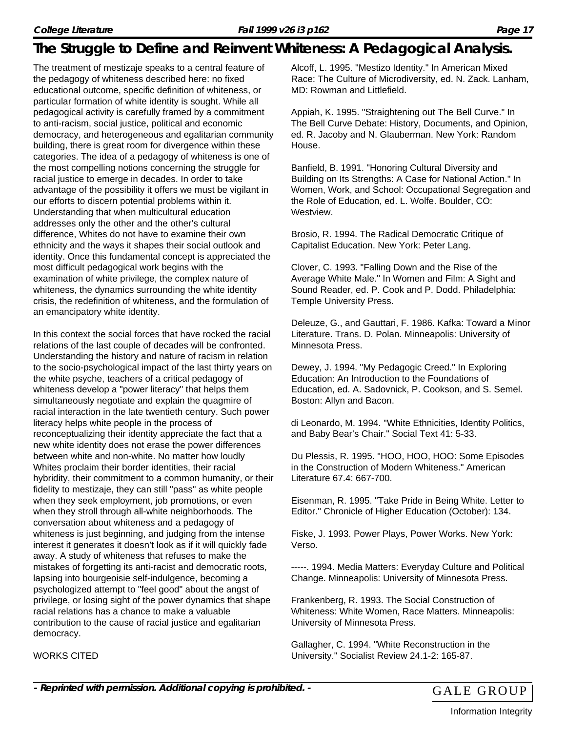The treatment of mestizaje speaks to a central feature of the pedagogy of whiteness described here: no fixed educational outcome, specific definition of whiteness, or particular formation of white identity is sought. While all pedagogical activity is carefully framed by a commitment to anti-racism, social justice, political and economic democracy, and heterogeneous and egalitarian community building, there is great room for divergence within these categories. The idea of a pedagogy of whiteness is one of the most compelling notions concerning the struggle for racial justice to emerge in decades. In order to take advantage of the possibility it offers we must be vigilant in our efforts to discern potential problems within it. Understanding that when multicultural education addresses only the other and the other's cultural difference, Whites do not have to examine their own ethnicity and the ways it shapes their social outlook and identity. Once this fundamental concept is appreciated the most difficult pedagogical work begins with the examination of white privilege, the complex nature of whiteness, the dynamics surrounding the white identity crisis, the redefinition of whiteness, and the formulation of an emancipatory white identity.

In this context the social forces that have rocked the racial relations of the last couple of decades will be confronted. Understanding the history and nature of racism in relation to the socio-psychological impact of the last thirty years on the white psyche, teachers of a critical pedagogy of whiteness develop a "power literacy" that helps them simultaneously negotiate and explain the quagmire of racial interaction in the late twentieth century. Such power literacy helps white people in the process of reconceptualizing their identity appreciate the fact that a new white identity does not erase the power differences between white and non-white. No matter how loudly Whites proclaim their border identities, their racial hybridity, their commitment to a common humanity, or their fidelity to mestizaje, they can still "pass" as white people when they seek employment, job promotions, or even when they stroll through all-white neighborhoods. The conversation about whiteness and a pedagogy of whiteness is just beginning, and judging from the intense interest it generates it doesn't look as if it will quickly fade away. A study of whiteness that refuses to make the mistakes of forgetting its anti-racist and democratic roots, lapsing into bourgeoisie self-indulgence, becoming a psychologized attempt to "feel good" about the angst of privilege, or losing sight of the power dynamics that shape racial relations has a chance to make a valuable contribution to the cause of racial justice and egalitarian democracy.

Alcoff, L. 1995. "Mestizo Identity." In American Mixed Race: The Culture of Microdiversity, ed. N. Zack. Lanham, MD: Rowman and Littlefield.

Appiah, K. 1995. "Straightening out The Bell Curve." In The Bell Curve Debate: History, Documents, and Opinion, ed. R. Jacoby and N. Glauberman. New York: Random House.

Banfield, B. 1991. "Honoring Cultural Diversity and Building on Its Strengths: A Case for National Action." In Women, Work, and School: Occupational Segregation and the Role of Education, ed. L. Wolfe. Boulder, CO: Westview.

Brosio, R. 1994. The Radical Democratic Critique of Capitalist Education. New York: Peter Lang.

Clover, C. 1993. "Falling Down and the Rise of the Average White Male." In Women and Film: A Sight and Sound Reader, ed. P. Cook and P. Dodd. Philadelphia: Temple University Press.

Deleuze, G., and Gauttari, F. 1986. Kafka: Toward a Minor Literature. Trans. D. Polan. Minneapolis: University of Minnesota Press.

Dewey, J. 1994. "My Pedagogic Creed." In Exploring Education: An Introduction to the Foundations of Education, ed. A. Sadovnick, P. Cookson, and S. Semel. Boston: Allyn and Bacon.

di Leonardo, M. 1994. "White Ethnicities, Identity Politics, and Baby Bear's Chair." Social Text 41: 5-33.

Du Plessis, R. 1995. "HOO, HOO, HOO: Some Episodes in the Construction of Modern Whiteness." American Literature 67.4: 667-700.

Eisenman, R. 1995. "Take Pride in Being White. Letter to Editor." Chronicle of Higher Education (October): 134.

Fiske, J. 1993. Power Plays, Power Works. New York: Verso.

-----. 1994. Media Matters: Everyday Culture and Political Change. Minneapolis: University of Minnesota Press.

Frankenberg, R. 1993. The Social Construction of Whiteness: White Women, Race Matters. Minneapolis: University of Minnesota Press.

Gallagher, C. 1994. "White Reconstruction in the University." Socialist Review 24.1-2: 165-87.

### WORKS CITED

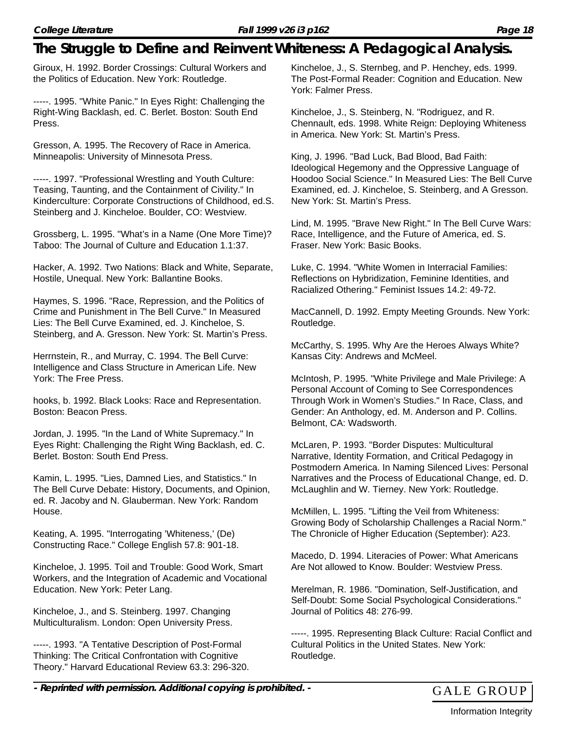Giroux, H. 1992. Border Crossings: Cultural Workers and the Politics of Education. New York: Routledge.

-----. 1995. "White Panic." In Eyes Right: Challenging the Right-Wing Backlash, ed. C. Berlet. Boston: South End Press.

Gresson, A. 1995. The Recovery of Race in America. Minneapolis: University of Minnesota Press.

-----. 1997. "Professional Wrestling and Youth Culture: Teasing, Taunting, and the Containment of Civility." In Kinderculture: Corporate Constructions of Childhood, ed.S. Steinberg and J. Kincheloe. Boulder, CO: Westview.

Grossberg, L. 1995. "What's in a Name (One More Time)? Taboo: The Journal of Culture and Education 1.1:37.

Hacker, A. 1992. Two Nations: Black and White, Separate, Hostile, Unequal. New York: Ballantine Books.

Haymes, S. 1996. "Race, Repression, and the Politics of Crime and Punishment in The Bell Curve." In Measured Lies: The Bell Curve Examined, ed. J. Kincheloe, S. Steinberg, and A. Gresson. New York: St. Martin's Press.

Herrnstein, R., and Murray, C. 1994. The Bell Curve: Intelligence and Class Structure in American Life. New York: The Free Press.

hooks, b. 1992. Black Looks: Race and Representation. Boston: Beacon Press.

Jordan, J. 1995. "In the Land of White Supremacy." In Eyes Right: Challenging the Right Wing Backlash, ed. C. Berlet. Boston: South End Press.

Kamin, L. 1995. "Lies, Damned Lies, and Statistics." In The Bell Curve Debate: History, Documents, and Opinion, ed. R. Jacoby and N. Glauberman. New York: Random House.

Keating, A. 1995. "Interrogating 'Whiteness,' (De) Constructing Race." College English 57.8: 901-18.

Kincheloe, J. 1995. Toil and Trouble: Good Work, Smart Workers, and the Integration of Academic and Vocational Education. New York: Peter Lang.

Kincheloe, J., and S. Steinberg. 1997. Changing Multiculturalism. London: Open University Press.

-----. 1993. "A Tentative Description of Post-Formal Thinking: The Critical Confrontation with Cognitive Theory." Harvard Educational Review 63.3: 296-320. Kincheloe, J., S. Sternbeg, and P. Henchey, eds. 1999. The Post-Formal Reader: Cognition and Education. New York: Falmer Press.

Kincheloe, J., S. Steinberg, N. "Rodriguez, and R. Chennault, eds. 1998. White Reign: Deploying Whiteness in America. New York: St. Martin's Press.

King, J. 1996. "Bad Luck, Bad Blood, Bad Faith: Ideological Hegemony and the Oppressive Language of Hoodoo Social Science." In Measured Lies: The Bell Curve Examined, ed. J. Kincheloe, S. Steinberg, and A Gresson. New York: St. Martin's Press.

Lind, M. 1995. "Brave New Right." In The Bell Curve Wars: Race, Intelligence, and the Future of America, ed. S. Fraser. New York: Basic Books.

Luke, C. 1994. "White Women in Interracial Families: Reflections on Hybridization, Feminine Identities, and Racialized Othering." Feminist Issues 14.2: 49-72.

MacCannell, D. 1992. Empty Meeting Grounds. New York: Routledge.

McCarthy, S. 1995. Why Are the Heroes Always White? Kansas City: Andrews and McMeel.

McIntosh, P. 1995. "White Privilege and Male Privilege: A Personal Account of Coming to See Correspondences Through Work in Women's Studies." In Race, Class, and Gender: An Anthology, ed. M. Anderson and P. Collins. Belmont, CA: Wadsworth.

McLaren, P. 1993. "Border Disputes: Multicultural Narrative, Identity Formation, and Critical Pedagogy in Postmodern America. In Naming Silenced Lives: Personal Narratives and the Process of Educational Change, ed. D. McLaughlin and W. Tierney. New York: Routledge.

McMillen, L. 1995. "Lifting the Veil from Whiteness: Growing Body of Scholarship Challenges a Racial Norm." The Chronicle of Higher Education (September): A23.

Macedo, D. 1994. Literacies of Power: What Americans Are Not allowed to Know. Boulder: Westview Press.

Merelman, R. 1986. "Domination, Self-Justification, and Self-Doubt: Some Social Psychological Considerations." Journal of Politics 48: 276-99.

-----. 1995. Representing Black Culture: Racial Conflict and Cultural Politics in the United States. New York: Routledge.